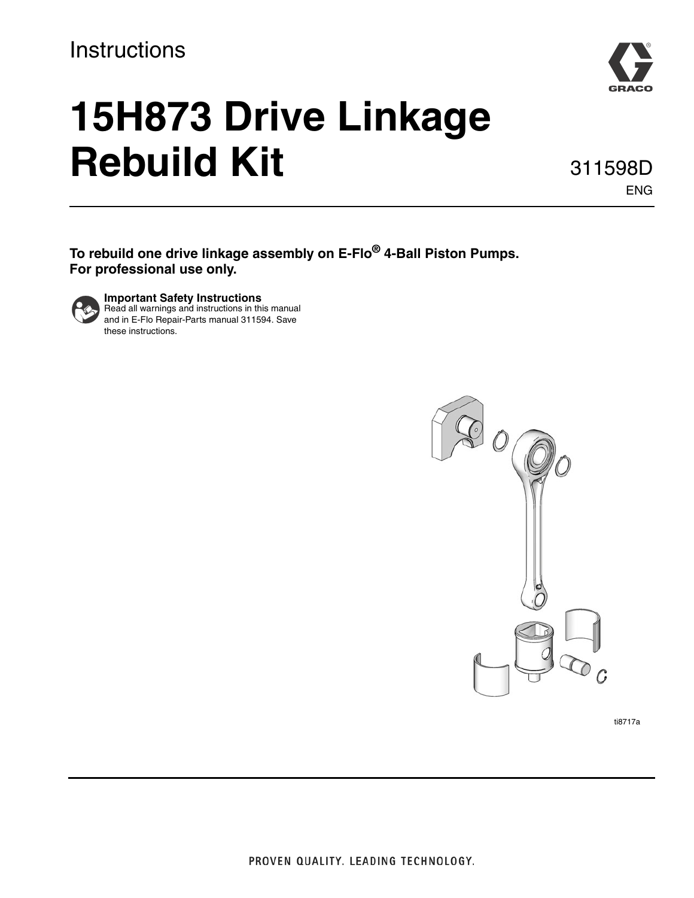## **Instructions**



# **15H873 Drive Linkage Rebuild Kit**

311598D ENG

**To rebuild one drive linkage assembly on E-Flo® 4-Ball Piston Pumps. For professional use only.**



**Important Safety Instructions** Read all warnings and instructions in this manual and in E-Flo Repair-Parts manual 311594. Save these instructions.



ti8717a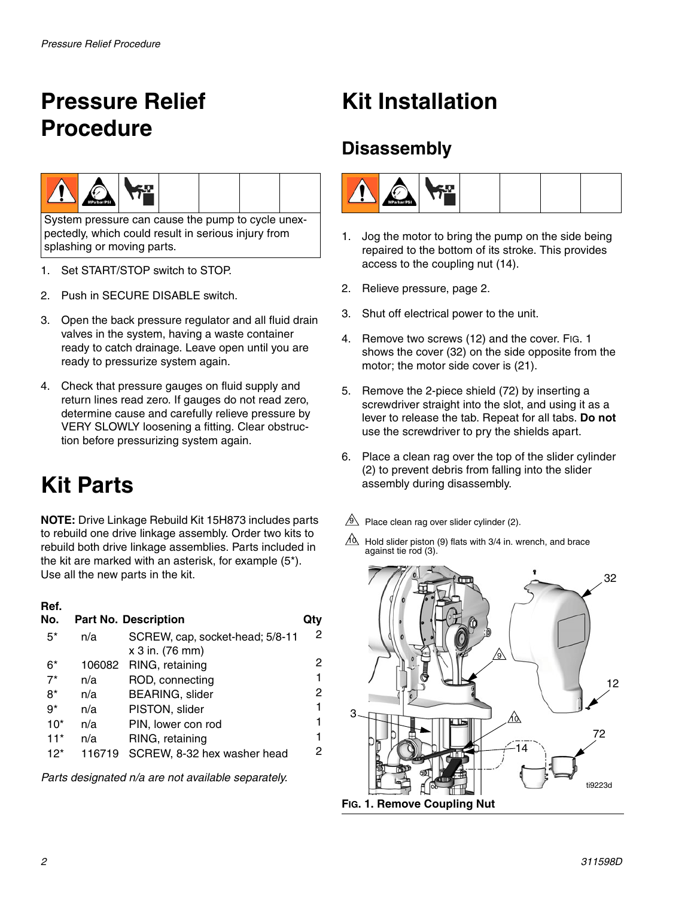# <span id="page-1-0"></span>**Pressure Relief Procedure**



System pressure can cause the pump to cycle unexpectedly, which could result in serious injury from splashing or moving parts.

- 1. Set START/STOP switch to STOP.
- 2. Push in SECURE DISABLE switch.
- 3. Open the back pressure regulator and all fluid drain valves in the system, having a waste container ready to catch drainage. Leave open until you are ready to pressurize system again.
- 4. Check that pressure gauges on fluid supply and return lines read zero. If gauges do not read zero, determine cause and carefully relieve pressure by VERY SLOWLY loosening a fitting. Clear obstruction before pressurizing system again.

# **Kit Parts**

**NOTE:** Drive Linkage Rebuild Kit 15H873 includes parts to rebuild one drive linkage assembly. Order two kits to rebuild both drive linkage assemblies. Parts included in the kit are marked with an asterisk, for example (5\*). Use all the new parts in the kit.

### **Ref.**

| No.   |        | <b>Part No. Description</b>                        |   |
|-------|--------|----------------------------------------------------|---|
| $5^*$ | n/a    | SCREW, cap, socket-head; 5/8-11<br>x 3 in. (76 mm) | 2 |
| 6*    | 106082 | RING, retaining                                    | 2 |
| $7^*$ | n/a    | ROD, connecting                                    | 1 |
| 8*    | n/a    | <b>BEARING, slider</b>                             | 2 |
| $9*$  | n/a    | PISTON, slider                                     | 1 |
| $10*$ | n/a    | PIN, lower con rod                                 | 1 |
| $11*$ | n/a    | RING, retaining                                    | 1 |
| $12*$ | 116719 | SCREW, 8-32 hex washer head                        | 2 |

*Parts designated n/a are not available separately.*

## **Kit Installation**

## **Disassembly**



- 1. Jog the motor to bring the pump on the side being repaired to the bottom of its stroke. This provides access to the coupling nut (14).
- 2. Relieve pressure, page [2.](#page-1-0)
- 3. Shut off electrical power to the unit.
- 4. Remove two screws (12) and the cover. FIG. 1 shows the cover (32) on the side opposite from the motor; the motor side cover is (21).
- 5. Remove the 2-piece shield (72) by inserting a screwdriver straight into the slot, and using it as a lever to release the tab. Repeat for all tabs. **Do not** use the screwdriver to pry the shields apart.
- 6. Place a clean rag over the top of the slider cylinder (2) to prevent debris from falling into the slider assembly during disassembly.
- $9$  Place clean rag over slider cylinder (2).
- $10$  Hold slider piston (9) flats with 3/4 in. wrench, and brace against tie rod (3).

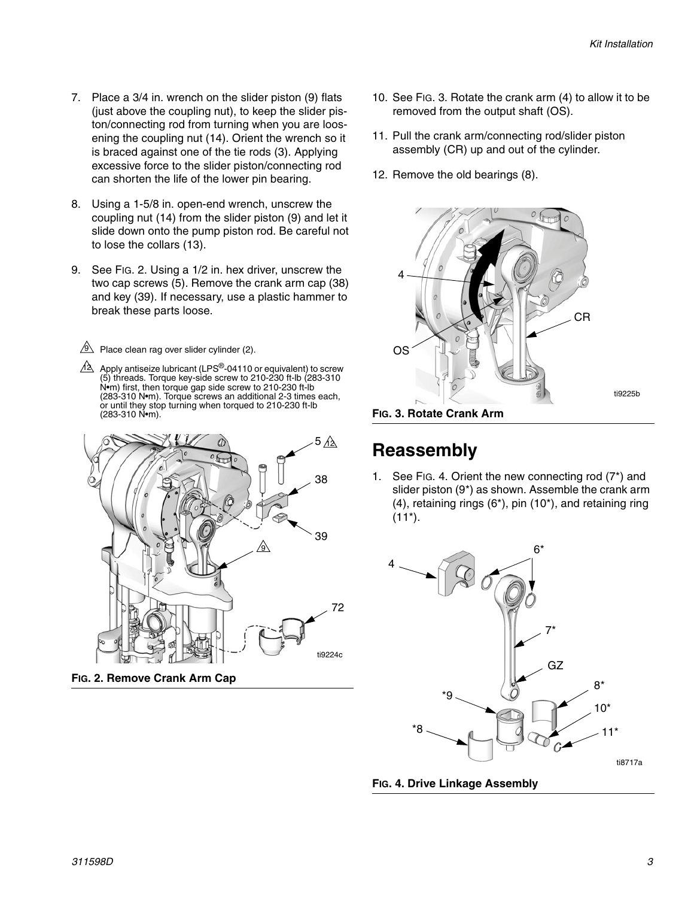- 7. Place a 3/4 in. wrench on the slider piston (9) flats (just above the coupling nut), to keep the slider piston/connecting rod from turning when you are loosening the coupling nut (14). Orient the wrench so it is braced against one of the tie rods (3). Applying excessive force to the slider piston/connecting rod can shorten the life of the lower pin bearing.
- 8. Using a 1-5/8 in. open-end wrench, unscrew the coupling nut (14) from the slider piston (9) and let it slide down onto the pump piston rod. Be careful not to lose the collars (13).
- 9. See FIG. 2. Using a 1/2 in. hex driver, unscrew the two cap screws (5). Remove the crank arm cap (38) and key (39). If necessary, use a plastic hammer to break these parts loose.

 $9$  Place clean rag over slider cylinder (2).

Apply antiseize lubricant (LPS $^\circledR$ -04110 or equivalent) to screw (5) threads. Torque key-side screw to 210-230 ft-lb (283-310 N•m) first, then torque gap side screw to 210-230 ft-lb (283-310 N•m). Torque screws an additional 2-3 times each, or until they stop turning when torqued to 210-230 ft-lb (283-310 N•m). <u>12</u>



**FIG. 2. Remove Crank Arm Cap**

- 10. See FIG. 3. Rotate the crank arm (4) to allow it to be removed from the output shaft (OS).
- 11. Pull the crank arm/connecting rod/slider piston assembly (CR) up and out of the cylinder.
- 12. Remove the old bearings (8).



**FIG. 3. Rotate Crank Arm**

## **Reassembly**

1. See FIG. 4. Orient the new connecting rod (7\*) and slider piston (9\*) as shown. Assemble the crank arm (4), retaining rings (6\*), pin (10\*), and retaining ring  $(11^*)$ .



**FIG. 4. Drive Linkage Assembly**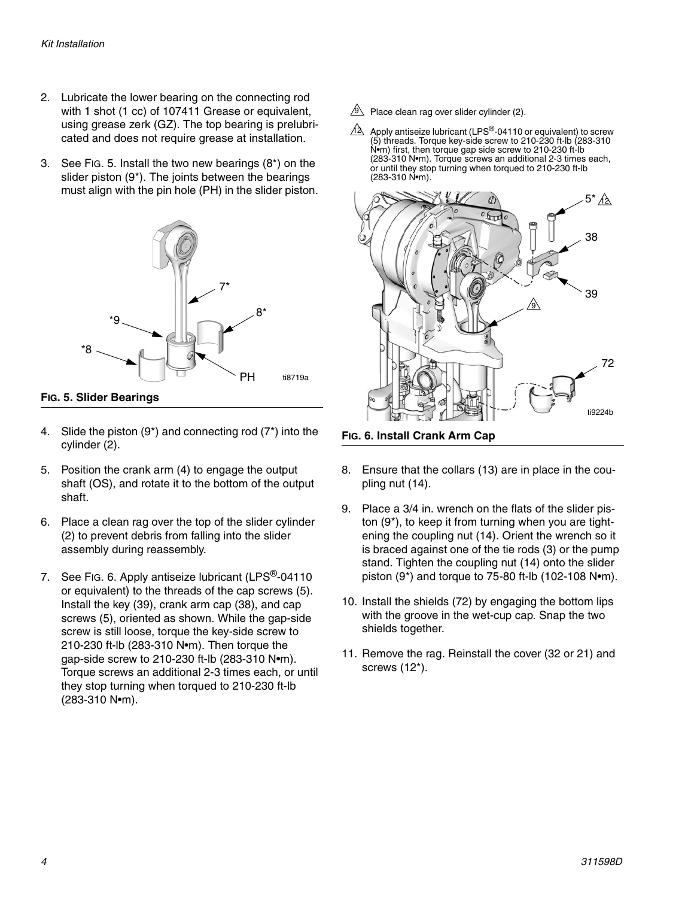- 2. Lubricate the lower bearing on the connecting rod with 1 shot (1 cc) of 107411 Grease or equivalent, using grease zerk (GZ). The top bearing is prelubricated and does not require grease at installation.
- 3. See FIG. 5. Install the two new bearings (8\*) on the slider piston (9\*). The joints between the bearings must align with the pin hole (PH) in the slider piston.



**FIG. 5. Slider Bearings**

- 4. Slide the piston  $(9^*)$  and connecting rod  $(7^*)$  into the cylinder (2).
- 5. Position the crank arm (4) to engage the output shaft (OS), and rotate it to the bottom of the output shaft.
- 6. Place a clean rag over the top of the slider cylinder (2) to prevent debris from falling into the slider assembly during reassembly.
- 7. See [FIG. 6](#page-3-0). Apply antiseize lubricant (LPS<sup>®</sup>-04110 or equivalent) to the threads of the cap screws (5). Install the key (39), crank arm cap (38), and cap screws (5), oriented as shown. While the gap-side screw is still loose, torque the key-side screw to 210-230 ft-lb (283-310 N•m). Then torque the gap-side screw to 210-230 ft-lb (283-310 N•m). Torque screws an additional 2-3 times each, or until they stop turning when torqued to 210-230 ft-lb (283-310 N•m).
- $9$  Place clean rag over slider cylinder (2).
- Apply antiseize lubricant (LPS<sup>®</sup>-04110 or equivalent) to screw (5) threads. Torque key-side screw to 210-230 ft-lb (283-310 N•m) first, then torque gap side screw to 210-230 ft-lb (283-310 N•m). Torque screws an additional 2-3 times each, or until they stop turning when torqued to 210-230 ft-lb (283-310 N•m). <u>12</u>



<span id="page-3-0"></span>**FIG. 6. Install Crank Arm Cap**

- 8. Ensure that the collars (13) are in place in the coupling nut (14).
- 9. Place a 3/4 in. wrench on the flats of the slider piston (9\*), to keep it from turning when you are tightening the coupling nut (14). Orient the wrench so it is braced against one of the tie rods (3) or the pump stand. Tighten the coupling nut (14) onto the slider piston (9\*) and torque to 75-80 ft-lb (102-108 N•m).
- 10. Install the shields (72) by engaging the bottom lips with the groove in the wet-cup cap. Snap the two shields together.
- 11. Remove the rag. Reinstall the cover (32 or 21) and screws (12\*).